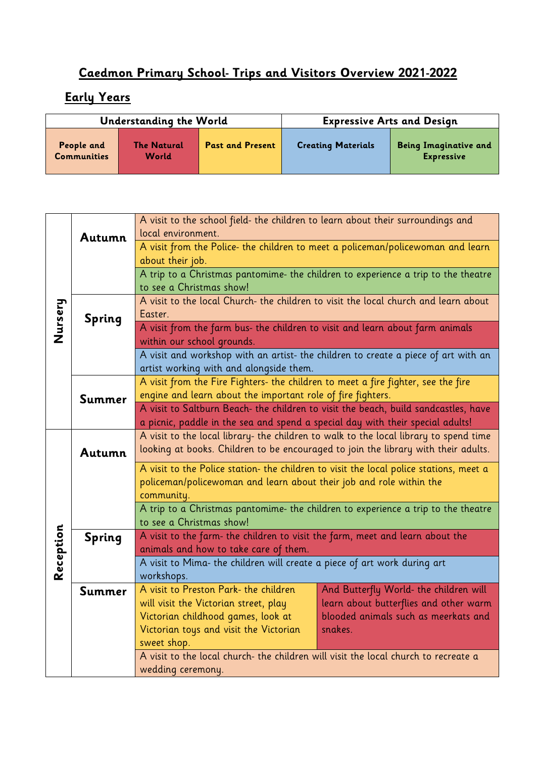## **Caedmon Primary School- Trips and Visitors Overview 2021-2022**

## **Early Years**

| Understanding the World          |                             |                         | <b>Expressive Arts and Design</b> |                                                   |  |
|----------------------------------|-----------------------------|-------------------------|-----------------------------------|---------------------------------------------------|--|
| People and<br><b>Communities</b> | <b>The Natural</b><br>World | <b>Past and Present</b> | <b>Creating Materials</b>         | <b>Being Imaginative and</b><br><b>Expressive</b> |  |

|           |               | A visit to the school field- the children to learn about their surroundings and        |                                        |  |  |  |  |  |
|-----------|---------------|----------------------------------------------------------------------------------------|----------------------------------------|--|--|--|--|--|
|           | Autumn        | local environment.                                                                     |                                        |  |  |  |  |  |
|           |               | A visit from the Police- the children to meet a policeman/policewoman and learn        |                                        |  |  |  |  |  |
|           |               | about their job.                                                                       |                                        |  |  |  |  |  |
|           |               | A trip to a Christmas pantomime- the children to experience a trip to the theatre      |                                        |  |  |  |  |  |
|           |               | to see a Christmas show!                                                               |                                        |  |  |  |  |  |
|           |               | A visit to the local Church- the children to visit the local church and learn about    |                                        |  |  |  |  |  |
|           | <b>Spring</b> | Easter.                                                                                |                                        |  |  |  |  |  |
| Nursery   |               | A visit from the farm bus- the children to visit and learn about farm animals          |                                        |  |  |  |  |  |
|           |               | within our school grounds.                                                             |                                        |  |  |  |  |  |
|           |               | A visit and workshop with an artist- the children to create a piece of art with an     |                                        |  |  |  |  |  |
|           |               | artist working with and alongside them.                                                |                                        |  |  |  |  |  |
|           |               | A visit from the Fire Fighters- the children to meet a fire fighter, see the fire      |                                        |  |  |  |  |  |
|           | Summer        | engine and learn about the important role of fire fighters.                            |                                        |  |  |  |  |  |
|           |               | A visit to Saltburn Beach- the children to visit the beach, build sandcastles, have    |                                        |  |  |  |  |  |
|           |               | a picnic, paddle in the sea and spend a special day with their special adults!         |                                        |  |  |  |  |  |
|           |               | A visit to the local library- the children to walk to the local library to spend time  |                                        |  |  |  |  |  |
|           | <b>Autumn</b> | looking at books. Children to be encouraged to join the library with their adults.     |                                        |  |  |  |  |  |
|           |               | A visit to the Police station- the children to visit the local police stations, meet a |                                        |  |  |  |  |  |
|           |               | policeman/policewoman and learn about their job and role within the                    |                                        |  |  |  |  |  |
|           |               | community.                                                                             |                                        |  |  |  |  |  |
|           |               | A trip to a Christmas pantomime- the children to experience a trip to the theatre      |                                        |  |  |  |  |  |
|           |               | to see a Christmas show!                                                               |                                        |  |  |  |  |  |
| Reception | <b>Spring</b> | A visit to the farm- the children to visit the farm, meet and learn about the          |                                        |  |  |  |  |  |
|           |               | animals and how to take care of them.                                                  |                                        |  |  |  |  |  |
|           |               | A visit to Mima- the children will create a piece of art work during art               |                                        |  |  |  |  |  |
|           |               | workshops.                                                                             |                                        |  |  |  |  |  |
|           | Summer        | A visit to Preston Park- the children                                                  | And Butterfly World- the children will |  |  |  |  |  |
|           |               | will visit the Victorian street, play                                                  | learn about butterflies and other warm |  |  |  |  |  |
|           |               | Victorian childhood games, look at                                                     | blooded animals such as meerkats and   |  |  |  |  |  |
|           |               | Victorian toys and visit the Victorian                                                 | snakes.                                |  |  |  |  |  |
|           |               | sweet shop.                                                                            |                                        |  |  |  |  |  |
|           |               | A visit to the local church- the children will visit the local church to recreate a    |                                        |  |  |  |  |  |
|           |               | wedding ceremony.                                                                      |                                        |  |  |  |  |  |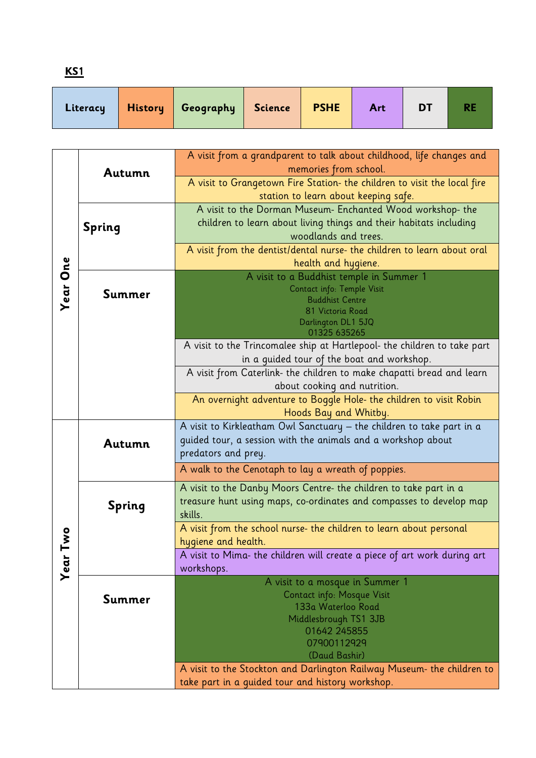|  |  | Literacy   History   Geography   Science   PSHE |  |  | Art |  |  |
|--|--|-------------------------------------------------|--|--|-----|--|--|
|--|--|-------------------------------------------------|--|--|-----|--|--|

|          |               | A visit from a grandparent to talk about childhood, life changes and     |  |  |
|----------|---------------|--------------------------------------------------------------------------|--|--|
|          | Autumn        | memories from school.                                                    |  |  |
|          |               | A visit to Grangetown Fire Station- the children to visit the local fire |  |  |
|          |               | station to learn about keeping safe.                                     |  |  |
|          |               | A visit to the Dorman Museum- Enchanted Wood workshop- the               |  |  |
|          | Spring        | children to learn about living things and their habitats including       |  |  |
|          |               | woodlands and trees.                                                     |  |  |
|          |               | A visit from the dentist/dental nurse- the children to learn about oral  |  |  |
|          |               | health and hygiene.                                                      |  |  |
| Year One |               | A visit to a Buddhist temple in Summer 1                                 |  |  |
|          | <b>Summer</b> | Contact info: Temple Visit                                               |  |  |
|          |               | <b>Buddhist Centre</b>                                                   |  |  |
|          |               | 81 Victoria Road                                                         |  |  |
|          |               | Darlington DL1 5JQ                                                       |  |  |
|          |               | 01325 635265                                                             |  |  |
|          |               | A visit to the Trincomalee ship at Hartlepool- the children to take part |  |  |
|          |               | in a guided tour of the boat and workshop.                               |  |  |
|          |               | A visit from Caterlink- the children to make chapatti bread and learn    |  |  |
|          |               | about cooking and nutrition.                                             |  |  |
|          |               | An overnight adventure to Boggle Hole- the children to visit Robin       |  |  |
|          |               | Hoods Bay and Whitby.                                                    |  |  |
|          |               | A visit to Kirkleatham Owl Sanctuary – the children to take part in a    |  |  |
|          | Autumn        | guided tour, a session with the animals and a workshop about             |  |  |
|          |               | predators and prey.                                                      |  |  |
|          |               | A walk to the Cenotaph to lay a wreath of poppies.                       |  |  |
|          |               | A visit to the Danby Moors Centre- the children to take part in a        |  |  |
|          | <b>Spring</b> | treasure hunt using maps, co-ordinates and compasses to develop map      |  |  |
|          |               | skills.                                                                  |  |  |
|          |               | A visit from the school nurse- the children to learn about personal      |  |  |
| Two      |               | hygiene and health.                                                      |  |  |
|          |               | A visit to Mima- the children will create a piece of art work during art |  |  |
| Year     |               | workshops.                                                               |  |  |
|          |               | A visit to a mosque in Summer 1                                          |  |  |
|          | <b>Summer</b> | Contact info: Mosque Visit                                               |  |  |
|          |               | 133a Waterloo Road                                                       |  |  |
|          |               | Middlesbrough TS1 3JB                                                    |  |  |
|          |               | 01642 245855                                                             |  |  |
|          |               | 07900112929                                                              |  |  |
|          |               | (Daud Bashir)                                                            |  |  |
|          |               | A visit to the Stockton and Darlington Railway Museum- the children to   |  |  |
|          |               | take part in a guided tour and history workshop.                         |  |  |

**KS1**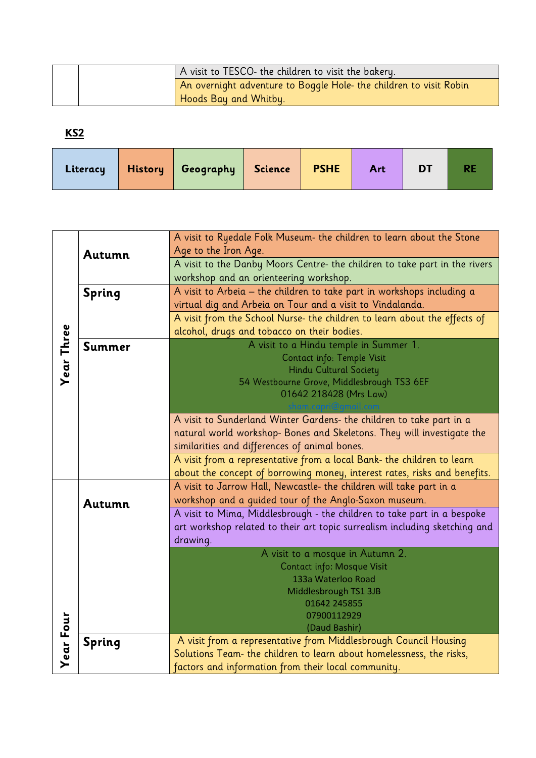|  | A visit to TESCO- the children to visit the bakery.                |
|--|--------------------------------------------------------------------|
|  | An overnight adventure to Boggle Hole- the children to visit Robin |
|  | Hoods Bay and Whitby.                                              |

**KS2**

| Literacy |  | History   Geography   Science   PSHE |  |  | <b>Art</b> | <b>DT</b> | <b>R</b> |
|----------|--|--------------------------------------|--|--|------------|-----------|----------|
|----------|--|--------------------------------------|--|--|------------|-----------|----------|

|                   |               | A visit to Ryedale Folk Museum- the children to learn about the Stone      |
|-------------------|---------------|----------------------------------------------------------------------------|
|                   | Autumn        | Age to the Iron Age.                                                       |
|                   |               | A visit to the Danby Moors Centre- the children to take part in the rivers |
|                   |               | workshop and an orienteering workshop.                                     |
|                   | <b>Spring</b> | A visit to Arbeia - the children to take part in workshops including a     |
|                   |               | virtual dig and Arbeia on Tour and a visit to Vindalanda.                  |
|                   |               | A visit from the School Nurse- the children to learn about the effects of  |
|                   |               | alcohol, drugs and tobacco on their bodies.                                |
| <b>Year Three</b> | <b>Summer</b> | A visit to a Hindu temple in Summer 1.                                     |
|                   |               | Contact info: Temple Visit                                                 |
|                   |               | Hindu Cultural Society                                                     |
|                   |               | 54 Westbourne Grove, Middlesbrough TS3 6EF                                 |
|                   |               | 01642 218428 (Mrs Law)                                                     |
|                   |               |                                                                            |
|                   |               | A visit to Sunderland Winter Gardens- the children to take part in a       |
|                   |               | natural world workshop- Bones and Skeletons. They will investigate the     |
|                   |               | similarities and differences of animal bones.                              |
|                   |               | A visit from a representative from a local Bank- the children to learn     |
|                   |               | about the concept of borrowing money, interest rates, risks and benefits.  |
|                   |               | A visit to Jarrow Hall, Newcastle- the children will take part in a        |
|                   | Autumn        | workshop and a guided tour of the Anglo-Saxon museum.                      |
|                   |               | A visit to Mima, Middlesbrough - the children to take part in a bespoke    |
|                   |               | art workshop related to their art topic surrealism including sketching and |
|                   |               | drawing.                                                                   |
|                   |               | A visit to a mosque in Autumn 2.                                           |
|                   |               | <b>Contact info: Mosque Visit</b>                                          |
|                   |               | 133a Waterloo Road                                                         |
|                   |               | Middlesbrough TS1 3JB                                                      |
|                   |               | 01642 245855                                                               |
|                   |               | 07900112929                                                                |
| Year Four         |               | (Daud Bashir)                                                              |
|                   | Spring        | A visit from a representative from Middlesbrough Council Housing           |
|                   |               | Solutions Team- the children to learn about homelessness, the risks,       |
|                   |               | factors and information from their local community.                        |